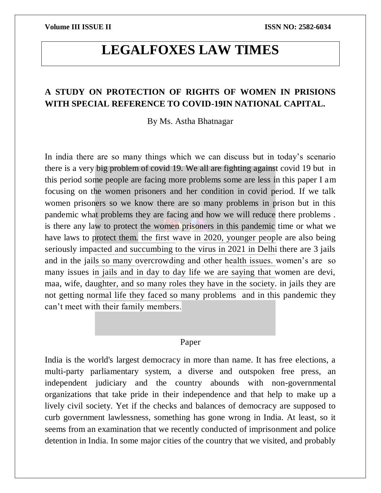# **LEGALFOXES LAW TIMES**

# **A STUDY ON PROTECTION OF RIGHTS OF WOMEN IN PRISIONS WITH SPECIAL REFERENCE TO COVID-19IN NATIONAL CAPITAL.**

By Ms. Astha Bhatnagar

In india there are so many things which we can discuss but in today's scenario there is a very big problem of covid 19. We all are fighting against covid 19 but in this period some people are facing more problems some are less in this paper I am focusing on the women prisoners and her condition in covid period. If we talk women prisoners so we know there are so many problems in prison but in this pandemic what problems they are facing and how we will reduce there problems . is there any law to protect the women prisoners in this pandemic time or what we have laws to protect them. the first wave in 2020, younger people are also being seriously impacted and succumbing to the virus in 2021 in Delhi there are 3 jails and in the jails so many overcrowding and other health issues. women's are so many issues in jails and in day to day life we are saying that women are devi, maa, wife, daughter, and so many roles they have in the society. in jails they are not getting normal life they faced so many problems and in this pandemic they can't meet with their family members.

### Paper

India is the world's largest democracy in more than name. It has free elections, a multi-party parliamentary system, a diverse and outspoken free press, an independent judiciary and the country abounds with non-governmental organizations that take pride in their independence and that help to make up a lively civil society. Yet if the checks and balances of democracy are supposed to curb government lawlessness, something has gone wrong in India. At least, so it seems from an examination that we recently conducted of imprisonment and police detention in India. In some major cities of the country that we visited, and probably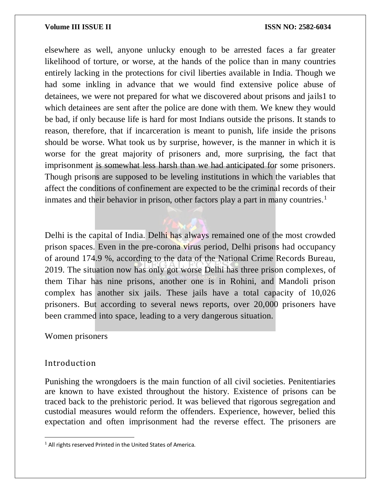elsewhere as well, anyone unlucky enough to be arrested faces a far greater likelihood of torture, or worse, at the hands of the police than in many countries entirely lacking in the protections for civil liberties available in India. Though we had some inkling in advance that we would find extensive police abuse of detainees, we were not prepared for what we discovered about prisons and jails1 to which detainees are sent after the police are done with them. We knew they would be bad, if only because life is hard for most Indians outside the prisons. It stands to reason, therefore, that if incarceration is meant to punish, life inside the prisons should be worse. What took us by surprise, however, is the manner in which it is worse for the great majority of prisoners and, more surprising, the fact that imprisonment is somewhat less harsh than we had anticipated for some prisoners. Though prisons are supposed to be leveling institutions in which the variables that affect the conditions of confinement are expected to be the criminal records of their inmates and their behavior in prison, other factors play a part in many countries.<sup>1</sup>

Delhi is the capital of India. Delhi has always remained one of the most crowded prison spaces. Even in the pre-corona virus period, Delhi prisons had occupancy of around 174.9 %, according to the data of the National Crime Records Bureau, 2019. The situation now has only got worse Delhi has three prison complexes, of them Tihar has nine prisons, another one is in Rohini, and Mandoli prison complex has another six jails. These jails have a total capacity of 10,026 prisoners. But according to several news reports, over 20,000 prisoners have been crammed into space, leading to a very dangerous situation.

### Women prisoners

## Introduction

 $\overline{a}$ 

Punishing the wrongdoers is the main function of all civil societies. Penitentiaries are known to have existed throughout the history. Existence of prisons can be traced back to the prehistoric period. It was believed that rigorous segregation and custodial measures would reform the offenders. Experience, however, belied this expectation and often imprisonment had the reverse effect. The prisoners are

<sup>&</sup>lt;sup>1</sup> All rights reserved Printed in the United States of America.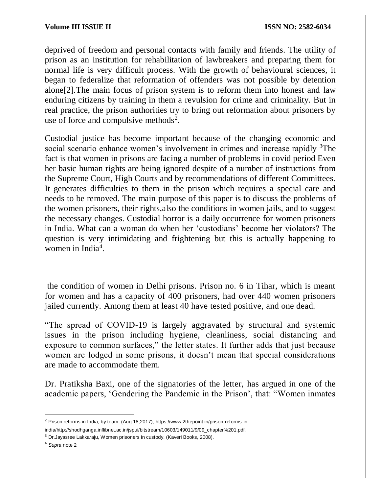deprived of freedom and personal contacts with family and friends. The utility of prison as an institution for rehabilitation of lawbreakers and preparing them for normal life is very difficult process. With the growth of behavioural sciences, it began to federalize that reformation of offenders was not possible by detention alon[e\[2\].](https://www.jusdicere.in/the-challenges-faced-by-women-prisoners-in-india/#_ftn2)The main focus of prison system is to reform them into honest and law enduring citizens by training in them a revulsion for crime and criminality. But in real practice, the prison authorities try to bring out reformation about prisoners by use of force and compulsive methods<sup>2</sup>.

Custodial justice has become important because of the changing economic and social scenario enhance women's involvement in crimes and increase rapidly <sup>3</sup>The fact is that women in prisons are facing a number of problems in covid period Even her basic human rights are being ignored despite of a number of instructions from the Supreme Court, High Courts and by recommendations of different Committees. It generates difficulties to them in the prison which requires a special care and needs to be removed. The main purpose of this paper is to discuss the problems of the women prisoners, their rights,also the conditions in women jails, and to suggest the necessary changes*.* Custodial horror is a daily occurrence for women prisoners in India. What can a woman do when her 'custodians' become her violators? The question is very intimidating and frightening but this is actually happening to women in India<sup>4</sup>.

the condition of women in Delhi prisons. Prison no. 6 in Tihar, which is meant for women and has a capacity of 400 prisoners, had over 440 women prisoners jailed currently. Among them at least 40 have tested positive, and one dead.

"The spread of COVID-19 is largely aggravated by structural and systemic issues in the prison including hygiene, cleanliness, social distancing and exposure to common surfaces," the letter states. It further adds that just because women are lodged in some prisons, it doesn't mean that special considerations are made to accommodate them.

Dr. Pratiksha Baxi, one of the signatories of the letter, has argued in one of the academic papers, 'Gendering the Pandemic in the Prison', that: "Women inmates

 $\overline{\phantom{a}}$ 

<sup>&</sup>lt;sup>2</sup> Prison reforms in India, by team, (Aug 18,2017), https://www.2thepoint.in/prison-reforms-in-

india/http://shodhganga.inflibnet.ac.in/jspui/bitstream/10603/149011/9/09\_chapter%201.pdf.

<sup>&</sup>lt;sup>3</sup> Dr.Jayasree Lakkaraju, Women prisoners in custody, (Kaveri Books, 2008).

<sup>4</sup> *Supra* note 2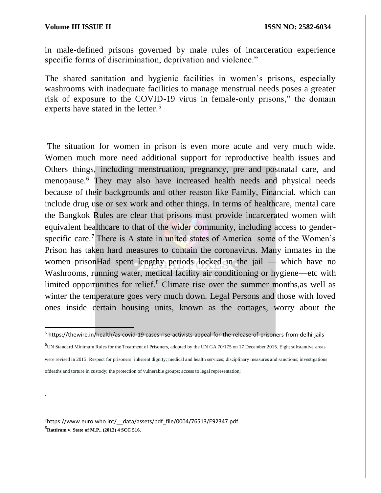$\overline{a}$ 

.

in male-defined prisons governed by male rules of incarceration experience specific forms of discrimination, deprivation and violence."

The shared sanitation and hygienic facilities in women's prisons, especially washrooms with inadequate facilities to manage menstrual needs poses a greater risk of exposure to the COVID-19 virus in female-only prisons," the domain experts have stated in the letter.<sup>5</sup>

The situation for women in prison is even more acute and very much wide. Women much more need additional support for reproductive health issues and Others things, including menstruation, pregnancy, pre and postnatal care, and menopause.<sup>6</sup> They may also have increased health needs and physical needs because of their backgrounds and other reason like Family, Financial. which can include drug use or sex work and other things. In terms of healthcare, mental care the Bangkok Rules are clear that prisons must provide incarcerated women with equivalent healthcare to that of the wider community, including access to genderspecific care.<sup>7</sup> There is A state in united states of America some of the Women's Prison has taken hard measures to contain the coronavirus. Many inmates in the women prisonHad spent lengthy periods locked in the jail — which have no Washrooms, running water, medical facility air conditioning or hygiene—etc with limited opportunities for relief.<sup>8</sup> Climate rise over the summer months, as well as winter the temperature goes very much down. Legal Persons and those with loved ones inside certain housing units, known as the cottages, worry about the

 $6$ UN Standard Minimum Rules for the Treatment of Prisoners, adopted by the UN GA 70/175 on 17 December 2015. Eight substantive areas were revised in 2015: Respect for prisoners' inherent dignity; medical and health services; disciplinary measures and sanctions; investigations ofdeaths and torture in custody; the protection of vulnerable groups; access to legal representation;

<sup>7</sup>https://www.euro.who.int/ data/assets/pdf file/0004/76513/E92347.pdf <sup>8</sup>**Rattiram v. State of M.P., (2012) 4 SCC 516.**

<sup>5</sup> https://thewire.in/health/as-covid-19-cases-rise-activists-appeal-for-the-release-of-prisoners-from-delhi-jails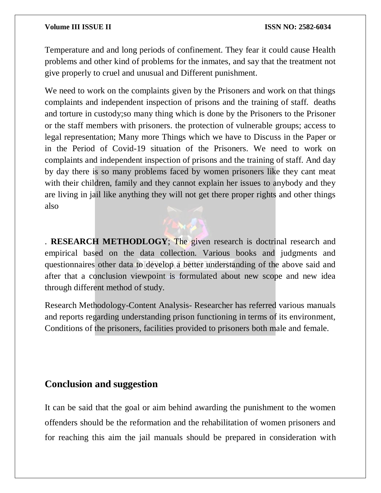Temperature and and long periods of confinement. They fear it could cause Health problems and other kind of problems for the inmates, and say that the treatment not give properly to cruel and unusual and Different punishment.

We need to work on the complaints given by the Prisoners and work on that things complaints and independent inspection of prisons and the training of staff. deaths and torture in custody;so many thing which is done by the Prisoners to the Prisoner or the staff members with prisoners. the protection of vulnerable groups; access to legal representation; Many more Things which we have to Discuss in the Paper or in the Period of Covid-19 situation of the Prisoners. We need to work on complaints and independent inspection of prisons and the training of staff. And day by day there is so many problems faced by women prisoners like they cant meat with their children, family and they cannot explain her issues to anybody and they are living in jail like anything they will not get there proper rights and other things also

. **RESEARCH METHODLOGY**; The given research is doctrinal research and empirical based on the data collection. Various books and judgments and questionnaires other data to develop a better understanding of the above said and after that a conclusion viewpoint is formulated about new scope and new idea through different method of study.

Research Methodology-Content Analysis- Researcher has referred various manuals and reports regarding understanding prison functioning in terms of its environment, Conditions of the prisoners, facilities provided to prisoners both male and female.

# **Conclusion and suggestion**

It can be said that the goal or aim behind awarding the punishment to the women offenders should be the reformation and the rehabilitation of women prisoners and for reaching this aim the jail manuals should be prepared in consideration with